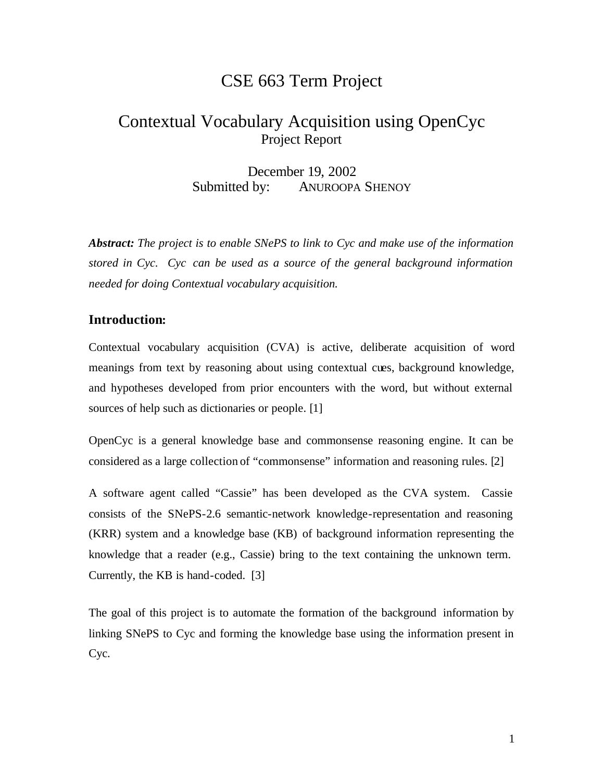# CSE 663 Term Project

# Contextual Vocabulary Acquisition using OpenCyc Project Report

December 19, 2002 Submitted by: ANUROOPA SHENOY

*Abstract: The project is to enable SNePS to link to Cyc and make use of the information stored in Cyc. Cyc can be used as a source of the general background information needed for doing Contextual vocabulary acquisition.*

#### **Introduction:**

Contextual vocabulary acquisition (CVA) is active, deliberate acquisition of word meanings from text by reasoning about using contextual cues, background knowledge, and hypotheses developed from prior encounters with the word, but without external sources of help such as dictionaries or people. [1]

OpenCyc is a general knowledge base and commonsense reasoning engine. It can be considered as a large collection of "commonsense" information and reasoning rules. [2]

A software agent called "Cassie" has been developed as the CVA system. Cassie consists of the SNePS-2.6 semantic-network knowledge-representation and reasoning (KRR) system and a knowledge base (KB) of background information representing the knowledge that a reader (e.g., Cassie) bring to the text containing the unknown term. Currently, the KB is hand-coded. [3]

The goal of this project is to automate the formation of the background information by linking SNePS to Cyc and forming the knowledge base using the information present in Cyc.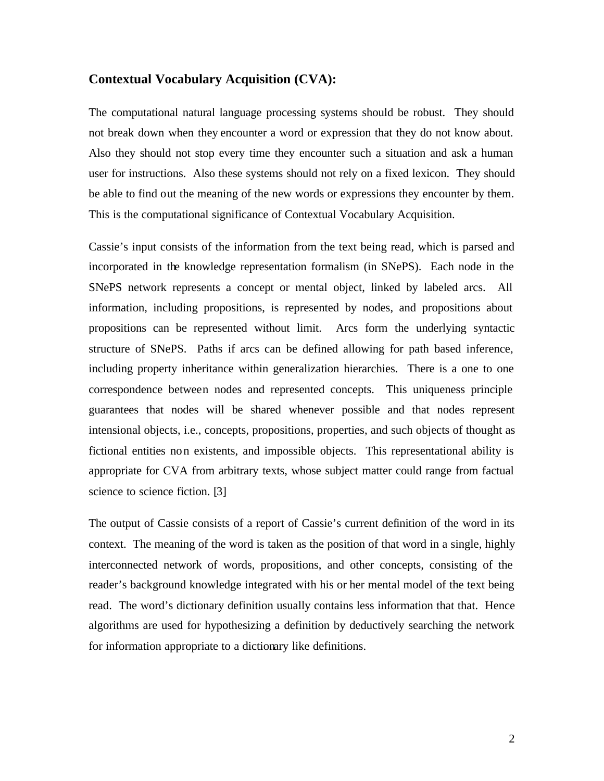#### **Contextual Vocabulary Acquisition (CVA):**

The computational natural language processing systems should be robust. They should not break down when they encounter a word or expression that they do not know about. Also they should not stop every time they encounter such a situation and ask a human user for instructions. Also these systems should not rely on a fixed lexicon. They should be able to find out the meaning of the new words or expressions they encounter by them. This is the computational significance of Contextual Vocabulary Acquisition.

Cassie's input consists of the information from the text being read, which is parsed and incorporated in the knowledge representation formalism (in SNePS). Each node in the SNePS network represents a concept or mental object, linked by labeled arcs. All information, including propositions, is represented by nodes, and propositions about propositions can be represented without limit. Arcs form the underlying syntactic structure of SNePS. Paths if arcs can be defined allowing for path based inference, including property inheritance within generalization hierarchies. There is a one to one correspondence between nodes and represented concepts. This uniqueness principle guarantees that nodes will be shared whenever possible and that nodes represent intensional objects, i.e., concepts, propositions, properties, and such objects of thought as fictional entities non existents, and impossible objects. This representational ability is appropriate for CVA from arbitrary texts, whose subject matter could range from factual science to science fiction. [3]

The output of Cassie consists of a report of Cassie's current definition of the word in its context. The meaning of the word is taken as the position of that word in a single, highly interconnected network of words, propositions, and other concepts, consisting of the reader's background knowledge integrated with his or her mental model of the text being read. The word's dictionary definition usually contains less information that that. Hence algorithms are used for hypothesizing a definition by deductively searching the network for information appropriate to a dictionary like definitions.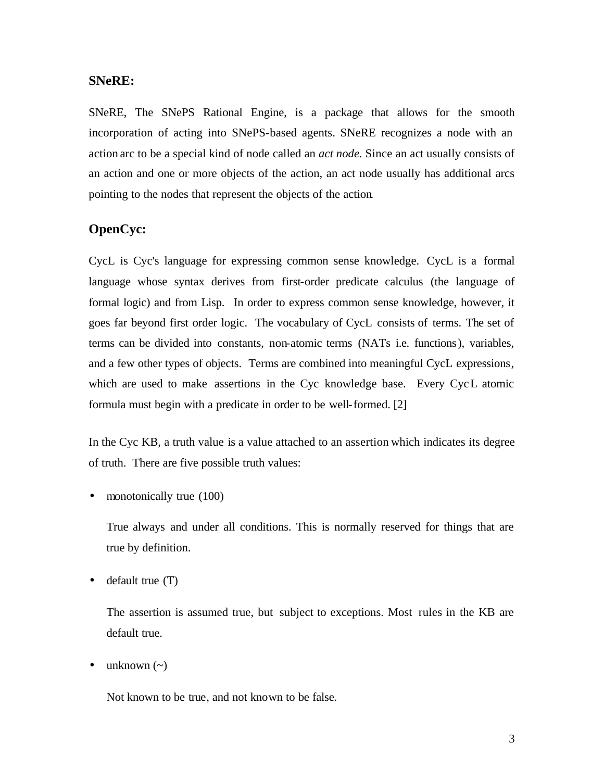#### **SNeRE:**

SNeRE, The SNePS Rational Engine, is a package that allows for the smooth incorporation of acting into SNePS-based agents. SNeRE recognizes a node with an action arc to be a special kind of node called an *act node.* Since an act usually consists of an action and one or more objects of the action, an act node usually has additional arcs pointing to the nodes that represent the objects of the action.

## **OpenCyc:**

CycL is Cyc's language for expressing common sense knowledge. CycL is a formal language whose syntax derives from first-order predicate calculus (the language of formal logic) and from Lisp. In order to express common sense knowledge, however, it goes far beyond first order logic. The vocabulary of CycL consists of terms. The set of terms can be divided into constants, non-atomic terms (NATs i.e. functions), variables, and a few other types of objects. Terms are combined into meaningful CycL expressions, which are used to make assertions in the Cyc knowledge base. Every CycL atomic formula must begin with a predicate in order to be well-formed. [2]

In the Cyc KB, a truth value is a value attached to an assertion which indicates its degree of truth. There are five possible truth values:

• monotonically true (100)

True always and under all conditions. This is normally reserved for things that are true by definition.

• default true (T)

The assertion is assumed true, but subject to exceptions. Most rules in the KB are default true.

unknown  $(\sim)$ 

Not known to be true, and not known to be false.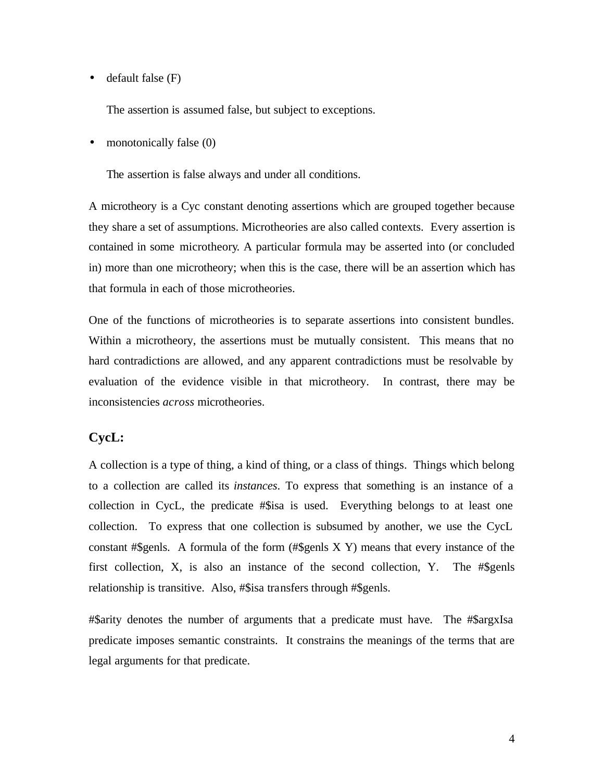$\bullet$  default false  $(F)$ 

The assertion is assumed false, but subject to exceptions.

monotonically false (0)

The assertion is false always and under all conditions.

A microtheory is a Cyc constant denoting assertions which are grouped together because they share a set of assumptions. Microtheories are also called contexts. Every assertion is contained in some microtheory. A particular formula may be asserted into (or concluded in) more than one microtheory; when this is the case, there will be an assertion which has that formula in each of those microtheories.

One of the functions of microtheories is to separate assertions into consistent bundles. Within a microtheory, the assertions must be mutually consistent. This means that no hard contradictions are allowed, and any apparent contradictions must be resolvable by evaluation of the evidence visible in that microtheory. In contrast, there may be inconsistencies *across* microtheories.

#### **CycL:**

A collection is a type of thing, a kind of thing, or a class of things. Things which belong to a collection are called its *instances*. To express that something is an instance of a collection in CycL, the predicate #\$isa is used. Everything belongs to at least one collection. To express that one collection is subsumed by another, we use the CycL constant #\$genls. A formula of the form (#\$genls X Y) means that every instance of the first collection, X, is also an instance of the second collection, Y. The #\$genls relationship is transitive. Also, #\$isa transfers through #\$genls.

#\$arity denotes the number of arguments that a predicate must have. The #\$argxIsa predicate imposes semantic constraints. It constrains the meanings of the terms that are legal arguments for that predicate.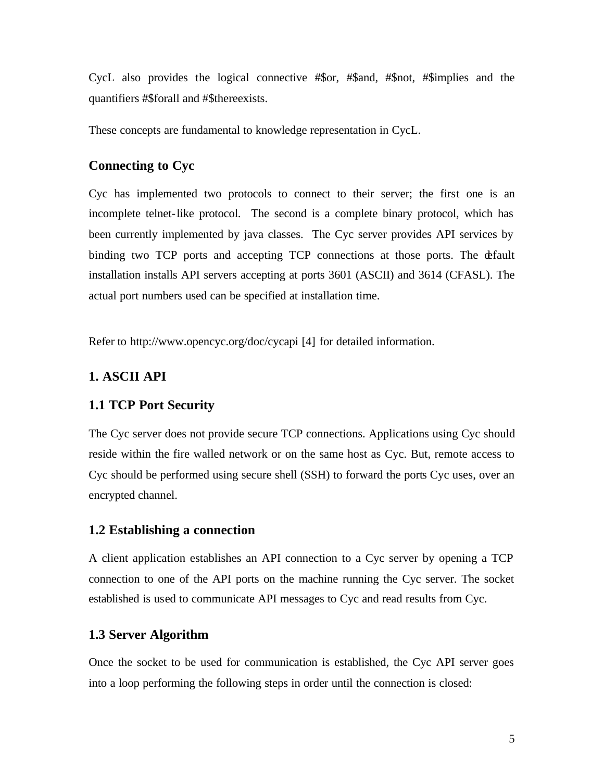CycL also provides the logical connective #\$or, #\$and, #\$not, #\$implies and the quantifiers #\$forall and #\$thereexists.

These concepts are fundamental to knowledge representation in CycL.

#### **Connecting to Cyc**

Cyc has implemented two protocols to connect to their server; the first one is an incomplete telnet-like protocol. The second is a complete binary protocol, which has been currently implemented by java classes. The Cyc server provides API services by binding two TCP ports and accepting TCP connections at those ports. The default installation installs API servers accepting at ports 3601 (ASCII) and 3614 (CFASL). The actual port numbers used can be specified at installation time.

Refer to http://www.opencyc.org/doc/cycapi [4] for detailed information.

## **1. ASCII API**

#### **1.1 TCP Port Security**

The Cyc server does not provide secure TCP connections. Applications using Cyc should reside within the fire walled network or on the same host as Cyc. But, remote access to Cyc should be performed using secure shell (SSH) to forward the ports Cyc uses, over an encrypted channel.

#### **1.2 Establishing a connection**

A client application establishes an API connection to a Cyc server by opening a TCP connection to one of the API ports on the machine running the Cyc server. The socket established is used to communicate API messages to Cyc and read results from Cyc.

#### **1.3 Server Algorithm**

Once the socket to be used for communication is established, the Cyc API server goes into a loop performing the following steps in order until the connection is closed: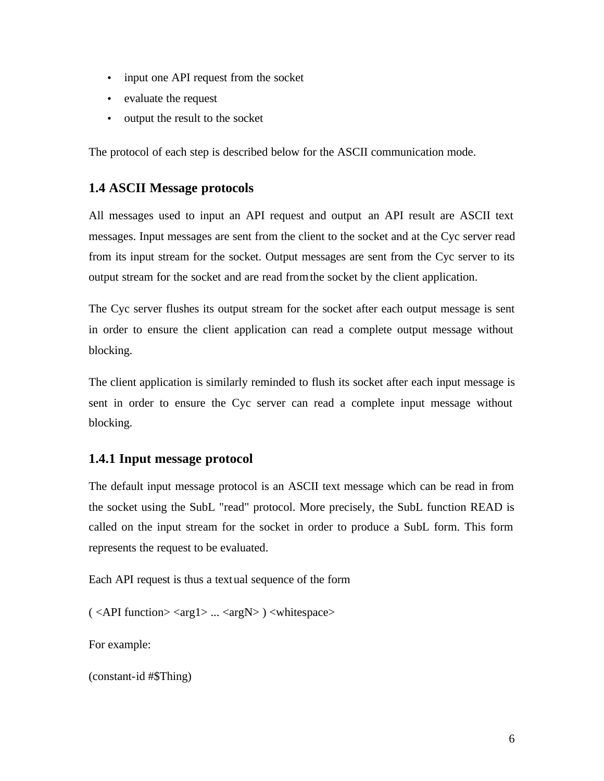- input one API request from the socket
- evaluate the request
- output the result to the socket

The protocol of each step is described below for the ASCII communication mode.

## **1.4 ASCII Message protocols**

All messages used to input an API request and output an API result are ASCII text messages. Input messages are sent from the client to the socket and at the Cyc server read from its input stream for the socket. Output messages are sent from the Cyc server to its output stream for the socket and are read from the socket by the client application.

The Cyc server flushes its output stream for the socket after each output message is sent in order to ensure the client application can read a complete output message without blocking.

The client application is similarly reminded to flush its socket after each input message is sent in order to ensure the Cyc server can read a complete input message without blocking.

#### **1.4.1 Input message protocol**

The default input message protocol is an ASCII text message which can be read in from the socket using the SubL "read" protocol. More precisely, the SubL function READ is called on the input stream for the socket in order to produce a SubL form. This form represents the request to be evaluated.

Each API request is thus a textual sequence of the form

( <API function> <arg1> ... <argN> ) <whitespace>

For example:

(constant-id #\$Thing)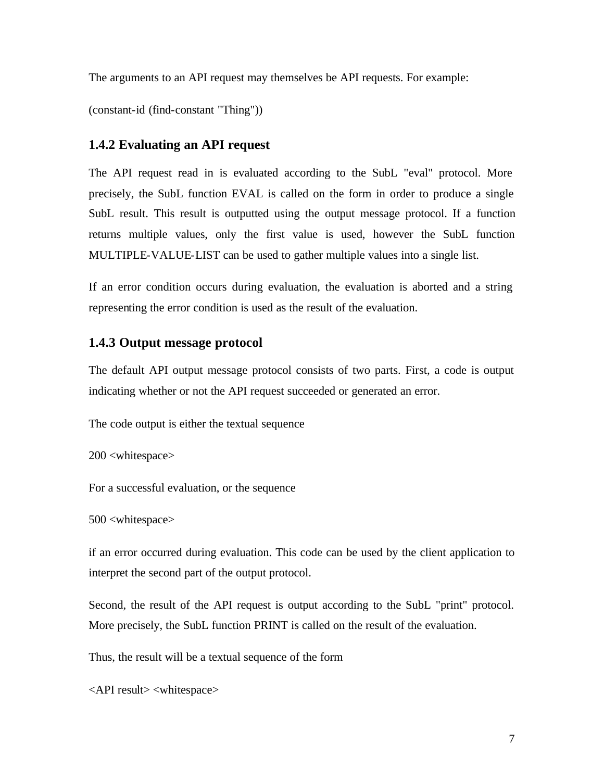The arguments to an API request may themselves be API requests. For example:

(constant-id (find-constant "Thing"))

#### **1.4.2 Evaluating an API request**

The API request read in is evaluated according to the SubL "eval" protocol. More precisely, the SubL function EVAL is called on the form in order to produce a single SubL result. This result is outputted using the output message protocol. If a function returns multiple values, only the first value is used, however the SubL function MULTIPLE-VALUE-LIST can be used to gather multiple values into a single list.

If an error condition occurs during evaluation, the evaluation is aborted and a string representing the error condition is used as the result of the evaluation.

#### **1.4.3 Output message protocol**

The default API output message protocol consists of two parts. First, a code is output indicating whether or not the API request succeeded or generated an error.

The code output is either the textual sequence

200 <whitespace>

For a successful evaluation, or the sequence

#### 500 <whitespace>

if an error occurred during evaluation. This code can be used by the client application to interpret the second part of the output protocol.

Second, the result of the API request is output according to the SubL "print" protocol. More precisely, the SubL function PRINT is called on the result of the evaluation.

Thus, the result will be a textual sequence of the form

<API result> <whitespace>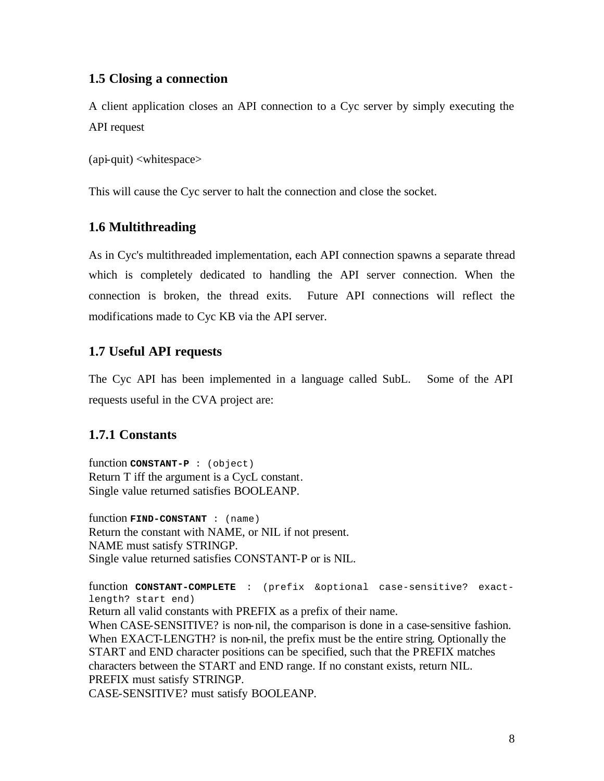### **1.5 Closing a connection**

A client application closes an API connection to a Cyc server by simply executing the API request

(api-quit) <whitespace>

This will cause the Cyc server to halt the connection and close the socket.

## **1.6 Multithreading**

As in Cyc's multithreaded implementation, each API connection spawns a separate thread which is completely dedicated to handling the API server connection. When the connection is broken, the thread exits. Future API connections will reflect the modifications made to Cyc KB via the API server.

## **1.7 Useful API requests**

The Cyc API has been implemented in a language called SubL. Some of the API requests useful in the CVA project are:

## **1.7.1 Constants**

function **CONSTANT-P** : (object) Return T iff the argument is a CycL constant. Single value returned satisfies BOOLEANP.

function **FIND-CONSTANT** : (name) Return the constant with NAME, or NIL if not present. NAME must satisfy STRINGP. Single value returned satisfies CONSTANT-P or is NIL.

function **CONSTANT-COMPLETE** : (prefix &optional case-sensitive? exactlength? start end)

Return all valid constants with PREFIX as a prefix of their name.

When CASE-SENSITIVE? is non-nil, the comparison is done in a case-sensitive fashion. When EXACT-LENGTH? is non-nil, the prefix must be the entire string. Optionally the START and END character positions can be specified, such that the PREFIX matches characters between the START and END range. If no constant exists, return NIL. PREFIX must satisfy STRINGP.

CASE-SENSITIVE? must satisfy BOOLEANP.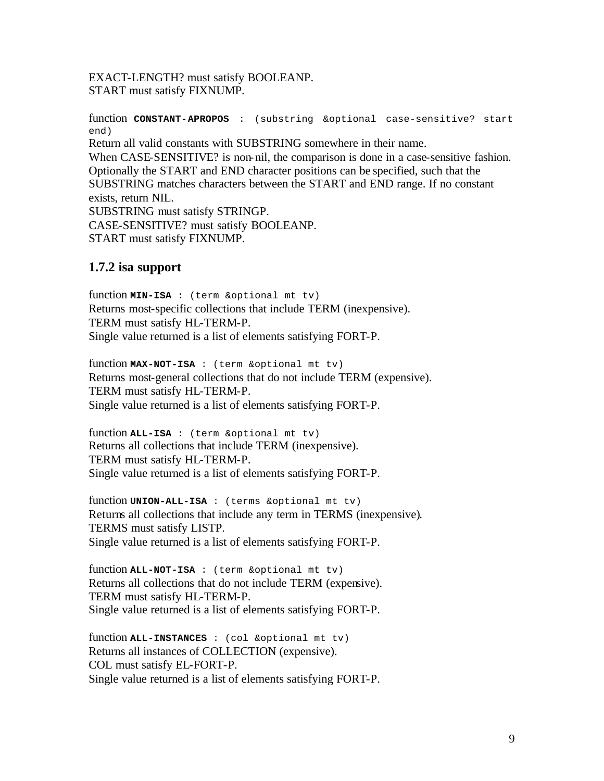EXACT-LENGTH? must satisfy BOOLEANP. START must satisfy FIXNUMP.

function **CONSTANT-APROPOS** : (substring &optional case-sensitive? start end) Return all valid constants with SUBSTRING somewhere in their name. When CASE-SENSITIVE? is non-nil, the comparison is done in a case-sensitive fashion. Optionally the START and END character positions can be specified, such that the SUBSTRING matches characters between the START and END range. If no constant exists, return NIL. SUBSTRING must satisfy STRINGP. CASE-SENSITIVE? must satisfy BOOLEANP. START must satisfy FIXNUMP.

## **1.7.2 isa support**

function **MIN-ISA** : (term &optional mt tv) Returns most-specific collections that include TERM (inexpensive). TERM must satisfy HL-TERM-P. Single value returned is a list of elements satisfying FORT-P.

function **MAX-NOT-ISA** : (term &optional mt tv) Returns most-general collections that do not include TERM (expensive). TERM must satisfy HL-TERM-P. Single value returned is a list of elements satisfying FORT-P.

function **ALL-ISA** : (term &optional mt tv) Returns all collections that include TERM (inexpensive). TERM must satisfy HL-TERM-P. Single value returned is a list of elements satisfying FORT-P.

function **UNION-ALL-ISA** : (terms &optional mt tv) Returns all collections that include any term in TERMS (inexpensive). TERMS must satisfy LISTP. Single value returned is a list of elements satisfying FORT-P.

function **ALL-NOT-ISA** : (term &optional mt tv) Returns all collections that do not include TERM (expensive). TERM must satisfy HL-TERM-P. Single value returned is a list of elements satisfying FORT-P.

function **ALL-INSTANCES** : (col &optional mt tv) Returns all instances of COLLECTION (expensive). COL must satisfy EL-FORT-P. Single value returned is a list of elements satisfying FORT-P.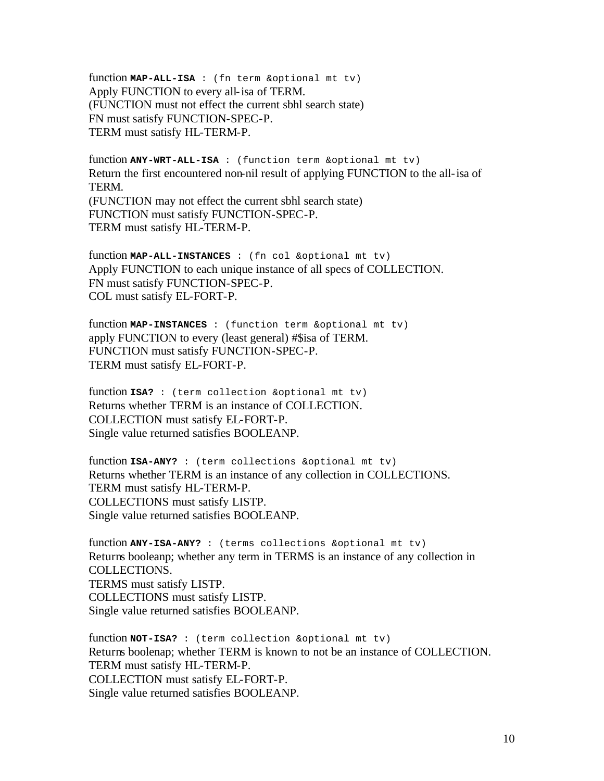function **MAP-ALL-ISA** : (fn term &optional mt tv) Apply FUNCTION to every all-isa of TERM. (FUNCTION must not effect the current sbhl search state) FN must satisfy FUNCTION-SPEC-P. TERM must satisfy HL-TERM-P.

function **ANY-WRT-ALL-ISA** : (function term &optional mt tv) Return the first encountered non-nil result of applying FUNCTION to the all-isa of TERM. (FUNCTION may not effect the current sbhl search state) FUNCTION must satisfy FUNCTION-SPEC-P. TERM must satisfy HL-TERM-P.

function **MAP-ALL-INSTANCES** : (fn col &optional mt tv) Apply FUNCTION to each unique instance of all specs of COLLECTION. FN must satisfy FUNCTION-SPEC-P. COL must satisfy EL-FORT-P.

function **MAP-INSTANCES** : (function term &optional mt tv) apply FUNCTION to every (least general) #\$isa of TERM. FUNCTION must satisfy FUNCTION-SPEC-P. TERM must satisfy EL-FORT-P.

function **ISA?** : (term collection &optional mt tv) Returns whether TERM is an instance of COLLECTION. COLLECTION must satisfy EL-FORT-P. Single value returned satisfies BOOLEANP.

function **ISA-ANY?** : (term collections &optional mt tv) Returns whether TERM is an instance of any collection in COLLECTIONS. TERM must satisfy HL-TERM-P. COLLECTIONS must satisfy LISTP. Single value returned satisfies BOOLEANP.

function **ANY-ISA-ANY?** : (terms collections &optional mt tv) Returns booleanp; whether any term in TERMS is an instance of any collection in COLLECTIONS. TERMS must satisfy LISTP. COLLECTIONS must satisfy LISTP. Single value returned satisfies BOOLEANP.

function **NOT-ISA?** : (term collection &optional mt tv) Returns boolenap; whether TERM is known to not be an instance of COLLECTION. TERM must satisfy HL-TERM-P. COLLECTION must satisfy EL-FORT-P. Single value returned satisfies BOOLEANP.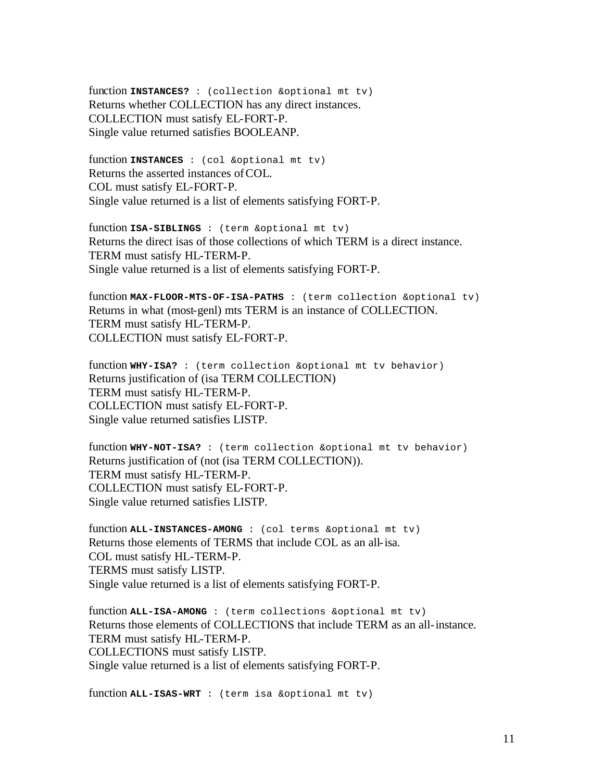function **INSTANCES?** : (collection &optional mt tv) Returns whether COLLECTION has any direct instances. COLLECTION must satisfy EL-FORT-P. Single value returned satisfies BOOLEANP.

function **INSTANCES** : (col &optional mt tv) Returns the asserted instances of COL. COL must satisfy EL-FORT-P. Single value returned is a list of elements satisfying FORT-P.

function **ISA-SIBLINGS** : (term &optional mt tv) Returns the direct isas of those collections of which TERM is a direct instance. TERM must satisfy HL-TERM-P. Single value returned is a list of elements satisfying FORT-P.

function **MAX-FLOOR-MTS-OF-ISA-PATHS** : (term collection &optional tv) Returns in what (most-genl) mts TERM is an instance of COLLECTION. TERM must satisfy HL-TERM-P. COLLECTION must satisfy EL-FORT-P.

function **WHY-ISA?** : (term collection &optional mt tv behavior) Returns justification of (isa TERM COLLECTION) TERM must satisfy HL-TERM-P. COLLECTION must satisfy EL-FORT-P. Single value returned satisfies LISTP.

function **WHY-NOT-ISA?** : (term collection &optional mt tv behavior) Returns justification of (not (isa TERM COLLECTION)). TERM must satisfy HL-TERM-P. COLLECTION must satisfy EL-FORT-P. Single value returned satisfies LISTP.

function **ALL-INSTANCES-AMONG** : (col terms &optional mt tv) Returns those elements of TERMS that include COL as an all-isa. COL must satisfy HL-TERM-P. TERMS must satisfy LISTP. Single value returned is a list of elements satisfying FORT-P.

function **ALL-ISA-AMONG** : (term collections &optional mt tv) Returns those elements of COLLECTIONS that include TERM as an all-instance. TERM must satisfy HL-TERM-P. COLLECTIONS must satisfy LISTP. Single value returned is a list of elements satisfying FORT-P.

function **ALL-ISAS-WRT** : (term isa &optional mt tv)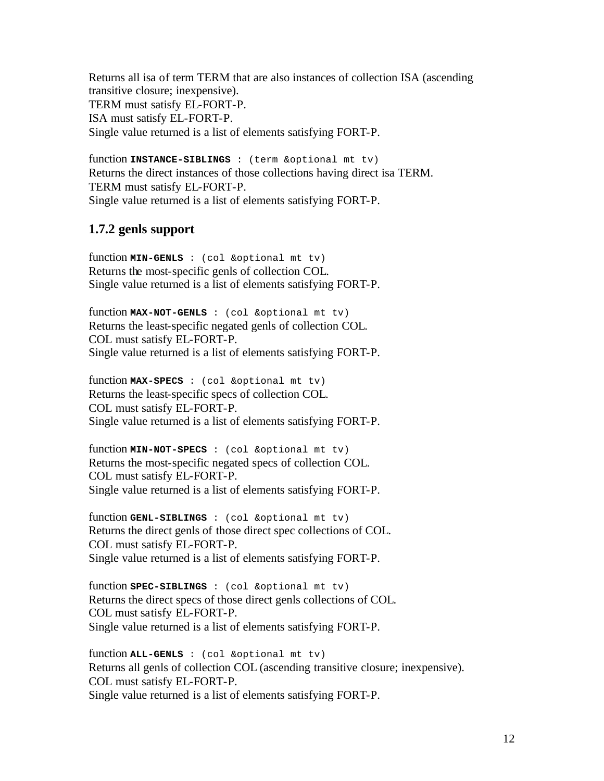Returns all isa of term TERM that are also instances of collection ISA (ascending transitive closure; inexpensive). TERM must satisfy EL-FORT-P. ISA must satisfy EL-FORT-P. Single value returned is a list of elements satisfying FORT-P.

function **INSTANCE-SIBLINGS** : (term &optional mt tv) Returns the direct instances of those collections having direct isa TERM. TERM must satisfy EL-FORT-P. Single value returned is a list of elements satisfying FORT-P.

## **1.7.2 genls support**

function **MIN-GENLS** : (col &optional mt tv) Returns the most-specific genls of collection COL. Single value returned is a list of elements satisfying FORT-P.

function **MAX-NOT-GENLS** : (col &optional mt tv) Returns the least-specific negated genls of collection COL. COL must satisfy EL-FORT-P. Single value returned is a list of elements satisfying FORT-P.

function **MAX-SPECS** : (col &optional mt tv) Returns the least-specific specs of collection COL. COL must satisfy EL-FORT-P. Single value returned is a list of elements satisfying FORT-P.

function **MIN-NOT-SPECS** : (col &optional mt tv) Returns the most-specific negated specs of collection COL. COL must satisfy EL-FORT-P. Single value returned is a list of elements satisfying FORT-P.

function **GENL-SIBLINGS** : (col &optional mt tv) Returns the direct genls of those direct spec collections of COL. COL must satisfy EL-FORT-P. Single value returned is a list of elements satisfying FORT-P.

function **SPEC-SIBLINGS** : (col &optional mt tv) Returns the direct specs of those direct genls collections of COL. COL must satisfy EL-FORT-P. Single value returned is a list of elements satisfying FORT-P.

function **ALL-GENLS** : (col &optional mt tv) Returns all genls of collection COL (ascending transitive closure; inexpensive). COL must satisfy EL-FORT-P. Single value returned is a list of elements satisfying FORT-P.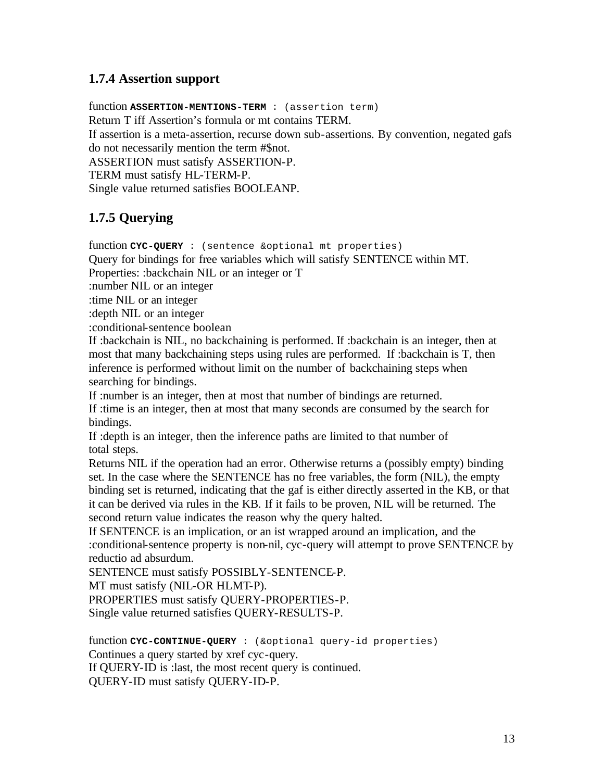## **1.7.4 Assertion support**

function **ASSERTION-MENTIONS-TERM** : (assertion term) Return T iff Assertion's formula or mt contains TERM. If assertion is a meta-assertion, recurse down sub-assertions. By convention, negated gafs do not necessarily mention the term #\$not. ASSERTION must satisfy ASSERTION-P. TERM must satisfy HL-TERM-P. Single value returned satisfies BOOLEANP.

## **1.7.5 Querying**

function **CYC-QUERY** : (sentence &optional mt properties)

Query for bindings for free variables which will satisfy SENTENCE within MT.

Properties: :backchain NIL or an integer or T

:number NIL or an integer

:time NIL or an integer

:depth NIL or an integer

:conditional-sentence boolean

If :backchain is NIL, no backchaining is performed. If :backchain is an integer, then at most that many backchaining steps using rules are performed. If :backchain is T, then inference is performed without limit on the number of backchaining steps when searching for bindings.

If :number is an integer, then at most that number of bindings are returned.

If :time is an integer, then at most that many seconds are consumed by the search for bindings.

If :depth is an integer, then the inference paths are limited to that number of total steps.

Returns NIL if the operation had an error. Otherwise returns a (possibly empty) binding set. In the case where the SENTENCE has no free variables, the form (NIL), the empty binding set is returned, indicating that the gaf is either directly asserted in the KB, or that it can be derived via rules in the KB. If it fails to be proven, NIL will be returned. The second return value indicates the reason why the query halted.

If SENTENCE is an implication, or an ist wrapped around an implication, and the :conditional-sentence property is non-nil, cyc-query will attempt to prove SENTENCE by reductio ad absurdum.

SENTENCE must satisfy POSSIBLY-SENTENCE-P.

MT must satisfy (NIL-OR HLMT-P).

PROPERTIES must satisfy QUERY-PROPERTIES-P.

Single value returned satisfies QUERY-RESULTS-P.

function **CYC-CONTINUE-QUERY** : (&optional query-id properties) Continues a query started by xref cyc-query. If QUERY-ID is :last, the most recent query is continued. QUERY-ID must satisfy QUERY-ID-P.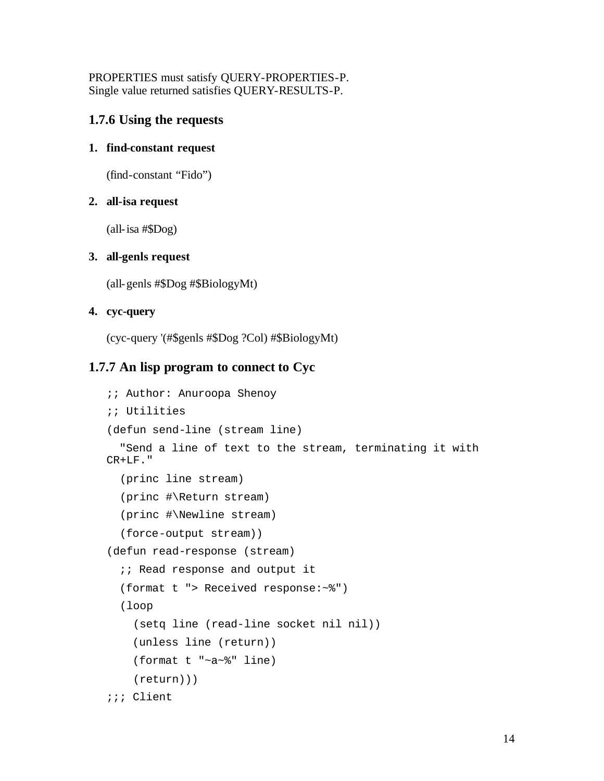PROPERTIES must satisfy QUERY-PROPERTIES-P. Single value returned satisfies QUERY-RESULTS-P.

## **1.7.6 Using the requests**

#### **1. find-constant request**

(find-constant "Fido")

#### **2. all-isa request**

(all-isa #\$Dog)

#### **3. all-genls request**

(all-genls #\$Dog #\$BiologyMt)

#### **4. cyc-query**

(cyc-query '(#\$genls #\$Dog ?Col) #\$BiologyMt)

## **1.7.7 An lisp program to connect to Cyc**

```
;; Author: Anuroopa Shenoy
;; Utilities
(defun send-line (stream line)
   "Send a line of text to the stream, terminating it with 
CR+LF."
   (princ line stream)
   (princ #\Return stream)
   (princ #\Newline stream)
   (force-output stream))
(defun read-response (stream)
  i; Read response and output it
   (format t "> Received response:~%")
   (loop
     (setq line (read-line socket nil nil))
     (unless line (return))
     (format t "~a~%" line)
     (return)))
;;; Client
```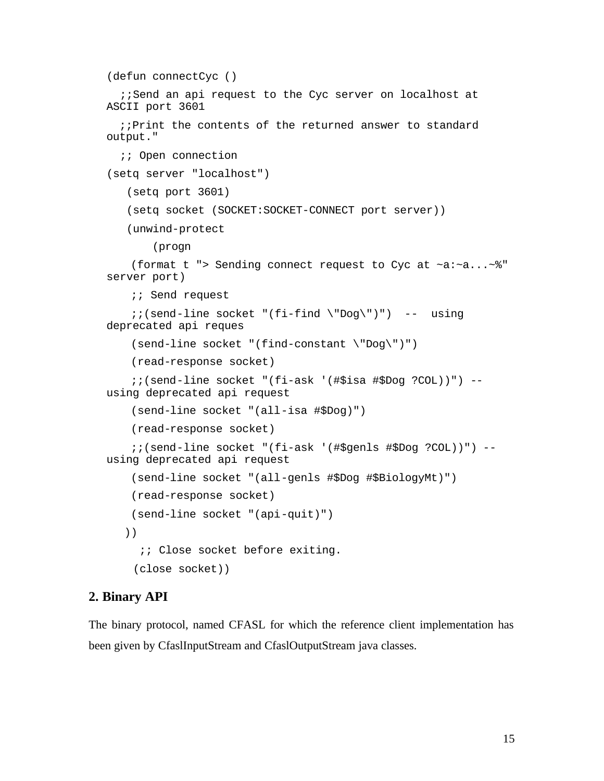```
(defun connectCyc ()
  ;;Send an api request to the Cyc server on localhost at
ASCII port 3601
   ;;Print the contents of the returned answer to standard 
output."
   ;; Open connection
(setq server "localhost")
    (setq port 3601)
    (setq socket (SOCKET:SOCKET-CONNECT port server))
    (unwind-protect
        (progn
     (format t "> Sending connect request to Cyc at ~a:~a...~%" 
server port)
     ;; Send request
    i (send-line socket "(fi-find \"Dog\")") -- using
deprecated api reques
     (send-line socket "(find-constant \"Dog\")")
     (read-response socket)
     ;;(send-line socket "(fi-ask '(#$isa #$Dog ?COL))") -- 
using deprecated api request
     (send-line socket "(all-isa #$Dog)")
     (read-response socket)
     ;;(send-line socket "(fi-ask '(#$genls #$Dog ?COL))") -- 
using deprecated api request
     (send-line socket "(all-genls #$Dog #$BiologyMt)")
     (read-response socket)
     (send-line socket "(api-quit)")
  ))
     \forall i Close socket before exiting.
     (close socket))
```
#### **2. Binary API**

The binary protocol, named CFASL for which the reference client implementation has been given by CfaslInputStream and CfaslOutputStream java classes.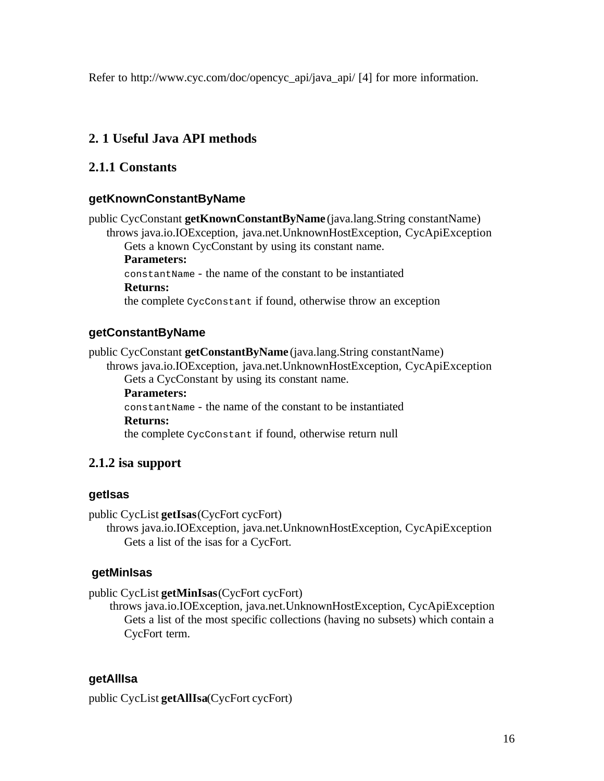Refer to http://www.cyc.com/doc/opencyc\_api/java\_api/ [4] for more information.

## **2. 1 Useful Java API methods**

## **2.1.1 Constants**

## **getKnownConstantByName**

public CycConstant **getKnownConstantByName** (java.lang.String constantName) throws java.io.IOException, java.net.UnknownHostException, CycApiException Gets a known CycConstant by using its constant name. **Parameters:** constantName - the name of the constant to be instantiated **Returns:** the complete CycConstant if found, otherwise throw an exception

## **getConstantByName**

public CycConstant **getConstantByName** (java.lang.String constantName) throws java.io.IOException, java.net.UnknownHostException, CycApiException Gets a CycConstant by using its constant name. **Parameters:** constantName - the name of the constant to be instantiated **Returns:** the complete CycConstant if found, otherwise return null

## **2.1.2 isa support**

## **getIsas**

public CycList **getIsas**(CycFort cycFort)

throws java.io.IOException, java.net.UnknownHostException, CycApiException Gets a list of the isas for a CycFort.

## **getMinIsas**

public CycList **getMinIsas**(CycFort cycFort)

 throws java.io.IOException, java.net.UnknownHostException, CycApiException Gets a list of the most specific collections (having no subsets) which contain a CycFort term.

## **getAllIsa**

public CycList **getAllIsa**(CycFort cycFort)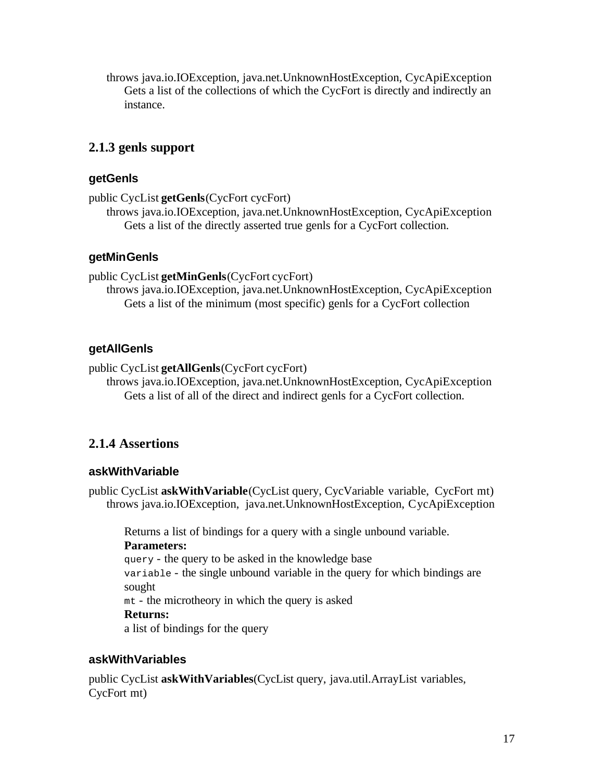throws java.io.IOException, java.net.UnknownHostException, CycApiException Gets a list of the collections of which the CycFort is directly and indirectly an instance.

## **2.1.3 genls support**

## **getGenls**

```
public CycList getGenls(CycFort cycFort)
```
throws java.io.IOException, java.net.UnknownHostException, CycApiException Gets a list of the directly asserted true genls for a CycFort collection.

## **getMinGenls**

public CycList **getMinGenls**(CycFort cycFort)

throws java.io.IOException, java.net.UnknownHostException, CycApiException Gets a list of the minimum (most specific) genls for a CycFort collection

## **getAllGenls**

public CycList **getAllGenls**(CycFort cycFort)

throws java.io.IOException, java.net.UnknownHostException, CycApiException Gets a list of all of the direct and indirect genls for a CycFort collection.

## **2.1.4 Assertions**

## **askWithVariable**

public CycList **askWithVariable**(CycList query, CycVariable variable, CycFort mt) throws java.io.IOException, java.net.UnknownHostException, CycApiException

Returns a list of bindings for a query with a single unbound variable. **Parameters:** query - the query to be asked in the knowledge base variable - the single unbound variable in the query for which bindings are sought mt - the microtheory in which the query is asked **Returns:** a list of bindings for the query

## **askWithVariables**

public CycList **askWithVariables**(CycList query, java.util.ArrayList variables, CycFort mt)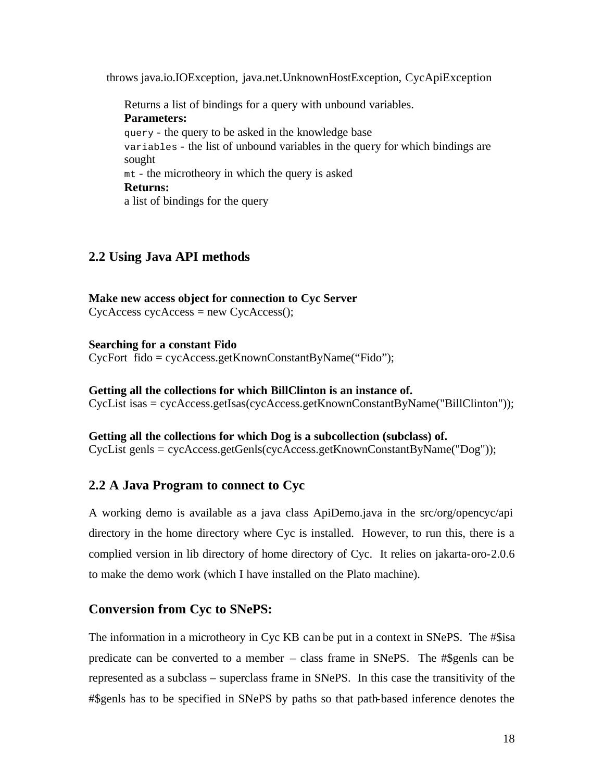throws java.io.IOException, java.net.UnknownHostException, CycApiException

Returns a list of bindings for a query with unbound variables. **Parameters:** query - the query to be asked in the knowledge base variables - the list of unbound variables in the query for which bindings are sought mt - the microtheory in which the query is asked **Returns:** a list of bindings for the query

## **2.2 Using Java API methods**

**Make new access object for connection to Cyc Server**  $CycAccess$  cycAccess = new  $CycAccess$ ();

**Searching for a constant Fido** CycFort fido = cycAccess.getKnownConstantByName("Fido");

**Getting all the collections for which BillClinton is an instance of.** CycList isas = cycAccess.getIsas(cycAccess.getKnownConstantByName("BillClinton"));

**Getting all the collections for which Dog is a subcollection (subclass) of.** CycList genls = cycAccess.getGenls(cycAccess.getKnownConstantByName("Dog"));

## **2.2 A Java Program to connect to Cyc**

A working demo is available as a java class ApiDemo.java in the src/org/opencyc/api directory in the home directory where Cyc is installed. However, to run this, there is a complied version in lib directory of home directory of Cyc. It relies on jakarta-oro-2.0.6 to make the demo work (which I have installed on the Plato machine).

## **Conversion from Cyc to SNePS:**

The information in a microtheory in Cyc KB can be put in a context in SNePS. The #\$isa predicate can be converted to a member – class frame in SNePS. The #\$genls can be represented as a subclass – superclass frame in SNePS. In this case the transitivity of the #\$genls has to be specified in SNePS by paths so that path-based inference denotes the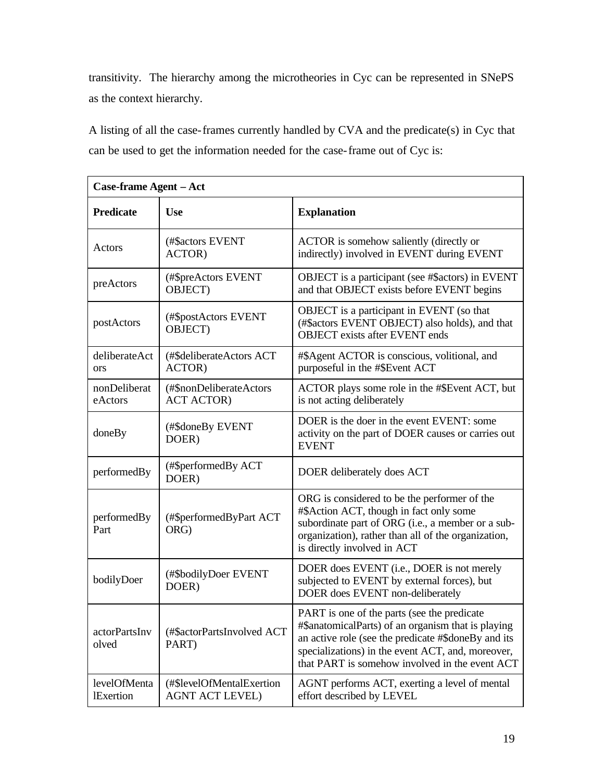transitivity. The hierarchy among the microtheories in Cyc can be represented in SNePS as the context hierarchy.

A listing of all the case-frames currently handled by CVA and the predicate(s) in Cyc that can be used to get the information needed for the case-frame out of Cyc is:

| Case-frame Agent - Act           |                                                     |                                                                                                                                                                                                                                                                 |
|----------------------------------|-----------------------------------------------------|-----------------------------------------------------------------------------------------------------------------------------------------------------------------------------------------------------------------------------------------------------------------|
| <b>Predicate</b>                 | <b>Use</b>                                          | <b>Explanation</b>                                                                                                                                                                                                                                              |
| Actors                           | (#\$actors EVENT<br>ACTOR)                          | ACTOR is somehow saliently (directly or<br>indirectly) involved in EVENT during EVENT                                                                                                                                                                           |
| preActors                        | (#\$preActors EVENT<br>OBJECT)                      | OBJECT is a participant (see #\$actors) in EVENT<br>and that OBJECT exists before EVENT begins                                                                                                                                                                  |
| postActors                       | (#\$postActors EVENT<br>OBJECT)                     | OBJECT is a participant in EVENT (so that<br>(#\$actors EVENT OBJECT) also holds), and that<br><b>OBJECT</b> exists after EVENT ends                                                                                                                            |
| deliberateAct<br><b>ors</b>      | (#\$deliberateActors ACT<br>ACTOR)                  | #\$Agent ACTOR is conscious, volitional, and<br>purposeful in the #\$Event ACT                                                                                                                                                                                  |
| nonDeliberat<br>eActors          | (#\$nonDeliberateActors<br><b>ACT ACTOR</b> )       | ACTOR plays some role in the #\$Event ACT, but<br>is not acting deliberately                                                                                                                                                                                    |
| doneBy                           | (#\$doneBy EVENT<br>DOER)                           | DOER is the doer in the event EVENT: some<br>activity on the part of DOER causes or carries out<br><b>EVENT</b>                                                                                                                                                 |
| performedBy                      | (#\$performedBy ACT<br>DOER)                        | DOER deliberately does ACT                                                                                                                                                                                                                                      |
| performedBy<br>Part              | (#\$performedByPart ACT<br>ORG)                     | ORG is considered to be the performer of the<br>#\$Action ACT, though in fact only some<br>subordinate part of ORG (i.e., a member or a sub-<br>organization), rather than all of the organization,<br>is directly involved in ACT                              |
| bodilyDoer                       | (#\$bodilyDoer EVENT<br>DOER)                       | DOER does EVENT (i.e., DOER is not merely<br>subjected to EVENT by external forces), but<br>DOER does EVENT non-deliberately                                                                                                                                    |
| actorPartsInv<br>olved           | (#\$actorPartsInvolved ACT<br>PART)                 | PART is one of the parts (see the predicate<br>#\$anatomicalParts) of an organism that is playing<br>an active role (see the predicate #\$doneBy and its<br>specializations) in the event ACT, and, moreover,<br>that PART is somehow involved in the event ACT |
| levelOfMenta<br><b>IExertion</b> | (#\$levelOfMentalExertion<br><b>AGNT ACT LEVEL)</b> | AGNT performs ACT, exerting a level of mental<br>effort described by LEVEL                                                                                                                                                                                      |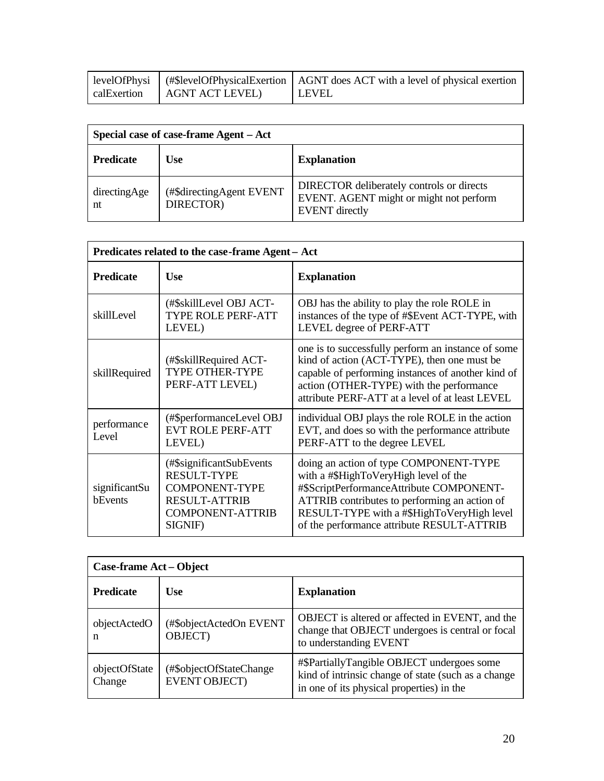|                               | levelOfPhysi   (#\$levelOfPhysicalExertion   AGNT does ACT with a level of physical exertion |
|-------------------------------|----------------------------------------------------------------------------------------------|
| calExertion   AGNT ACT LEVEL) | l LEVEL                                                                                      |

| Special case of case-frame Agent – Act |                                       |                                                                                                               |
|----------------------------------------|---------------------------------------|---------------------------------------------------------------------------------------------------------------|
| <b>Predicate</b>                       | <b>Use</b>                            | <b>Explanation</b>                                                                                            |
| directingAge<br>nt                     | (#\$directingAgent EVENT<br>DIRECTOR) | DIRECTOR deliberately controls or directs<br>EVENT. AGENT might or might not perform<br><b>EVENT</b> directly |

| Predicates related to the case-frame Agent - Act |                                                                                                                                        |                                                                                                                                                                                                                                                                          |
|--------------------------------------------------|----------------------------------------------------------------------------------------------------------------------------------------|--------------------------------------------------------------------------------------------------------------------------------------------------------------------------------------------------------------------------------------------------------------------------|
| <b>Predicate</b>                                 | <b>Use</b>                                                                                                                             | <b>Explanation</b>                                                                                                                                                                                                                                                       |
| skillLevel                                       | (#\$skillLevel OBJ ACT-<br>TYPE ROLE PERF-ATT<br>LEVEL)                                                                                | OBJ has the ability to play the role ROLE in<br>instances of the type of #\$Event ACT-TYPE, with<br>LEVEL degree of PERF-ATT                                                                                                                                             |
| skillRequired                                    | (#\$skillRequired ACT-<br><b>TYPE OTHER-TYPE</b><br>PERF-ATT LEVEL)                                                                    | one is to successfully perform an instance of some<br>kind of action (ACT-TYPE), then one must be<br>capable of performing instances of another kind of<br>action (OTHER-TYPE) with the performance<br>attribute PERF-ATT at a level of at least LEVEL                   |
| performance<br>Level                             | (#\$performanceLevel OBJ<br><b>EVT ROLE PERF-ATT</b><br>LEVEL)                                                                         | individual OBJ plays the role ROLE in the action<br>EVT, and does so with the performance attribute<br>PERF-ATT to the degree LEVEL                                                                                                                                      |
| significantSu<br>bEvents                         | (#\$significantSubEvents)<br><b>RESULT-TYPE</b><br><b>COMPONENT-TYPE</b><br><b>RESULT-ATTRIB</b><br><b>COMPONENT-ATTRIB</b><br>SIGNIF) | doing an action of type COMPONENT-TYPE<br>with a #\$HighToVeryHigh level of the<br>#\$ScriptPerformanceAttribute COMPONENT-<br>ATTRIB contributes to performing an action of<br>RESULT-TYPE with a #\$HighToVeryHigh level<br>of the performance attribute RESULT-ATTRIB |

| Case-frame Act - Object |                                                 |                                                                                                                                                |
|-------------------------|-------------------------------------------------|------------------------------------------------------------------------------------------------------------------------------------------------|
| <b>Predicate</b>        | <b>Use</b>                                      | <b>Explanation</b>                                                                                                                             |
| objectActedO<br>n       | (#\$objectActedOn EVENT<br>OBJECT)              | OBJECT is altered or affected in EVENT, and the<br>change that OBJECT undergoes is central or focal<br>to understanding EVENT                  |
| objectOfState<br>Change | (#\$objectOfStateChange<br><b>EVENT OBJECT)</b> | #\$PartiallyTangible OBJECT undergoes some<br>kind of intrinsic change of state (such as a change<br>in one of its physical properties) in the |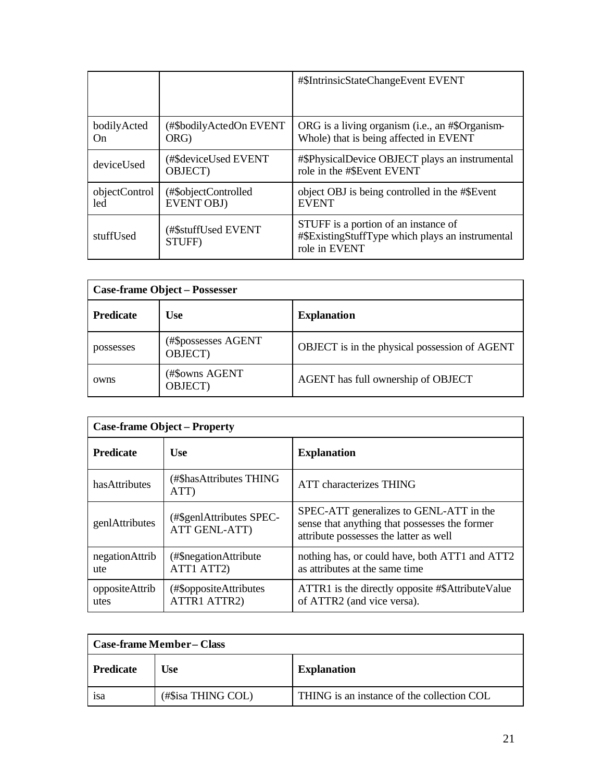|                      |                                           | #\$IntrinsicStateChangeEvent EVENT                                                                        |
|----------------------|-------------------------------------------|-----------------------------------------------------------------------------------------------------------|
| bodilyActed<br>On    | (#\$bodilyActedOn EVENT)<br>ORG)          | ORG is a living organism (i.e., an #\$Organism-<br>Whole) that is being affected in EVENT                 |
| deviceUsed           | (#\$deviceUsed EVENT<br><b>OBJECT</b> )   | #\$PhysicalDevice OBJECT plays an instrumental<br>role in the #\$Event EVENT                              |
| objectControl<br>led | (#\$objectControlled<br><b>EVENT OBJ)</b> | object OBJ is being controlled in the #\$Event<br><b>EVENT</b>                                            |
| stuffUsed            | (#\$stuffUsed EVENT<br>STUFF)             | STUFF is a portion of an instance of<br>#\$ExistingStuffType which plays an instrumental<br>role in EVENT |

| <b>Case-frame Object - Possesser</b> |                                |                                               |
|--------------------------------------|--------------------------------|-----------------------------------------------|
| <b>Predicate</b>                     | <b>Use</b>                     | <b>Explanation</b>                            |
| possesses                            | (#\$possesses AGENT<br>OBJECT) | OBJECT is in the physical possession of AGENT |
| owns                                 | (#\$owns AGENT<br>OBJECT)      | AGENT has full ownership of OBJECT            |

| <b>Case-frame Object - Property</b> |                                           |                                                                                                                                    |
|-------------------------------------|-------------------------------------------|------------------------------------------------------------------------------------------------------------------------------------|
| <b>Predicate</b>                    | <b>Use</b>                                | <b>Explanation</b>                                                                                                                 |
| hasAttributes                       | (#\$hasAttributes THING<br>ATT)           | <b>ATT</b> characterizes THING                                                                                                     |
| genlAttributes                      | (#\$genlAttributes SPEC-<br>ATT GENL-ATT) | SPEC-ATT generalizes to GENL-ATT in the<br>sense that anything that possesses the former<br>attribute possesses the latter as well |
| negationAttrib<br>ute               | (#\$negationAttribute<br>ATT1 ATT2)       | nothing has, or could have, both ATT1 and ATT2<br>as attributes at the same time                                                   |
| oppositeAttrib<br>utes              | (#\$oppositeAttributes)<br>ATTR1 ATTR2)   | ATTR1 is the directly opposite #\$AttributeValue<br>of ATTR2 (and vice versa).                                                     |

| Case-frame Member-Class |                    |                                            |
|-------------------------|--------------------|--------------------------------------------|
| <b>Predicate</b>        | Use                | <b>Explanation</b>                         |
| 1S <sub>a</sub>         | (#\$isa THING COL) | THING is an instance of the collection COL |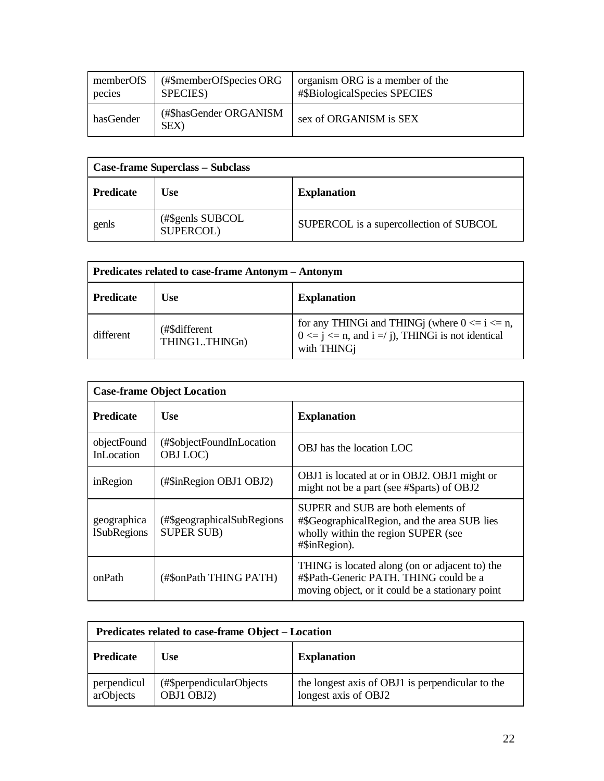| memberOfS | (#\$memberOfSpecies ORG              | organism ORG is a member of the |
|-----------|--------------------------------------|---------------------------------|
| pecies    | SPECIES)                             | #\$BiologicalSpecies SPECIES    |
| hasGender | (#\$hasGender ORGANISM<br><b>SEX</b> | sex of ORGANISM is SEX          |

| <b>Case-frame Superclass - Subclass</b> |                               |                                         |
|-----------------------------------------|-------------------------------|-----------------------------------------|
| <b>Predicate</b>                        | Use                           | <b>Explanation</b>                      |
| genls                                   | (#\$genls SUBCOL<br>SUPERCOL) | SUPERCOL is a supercollection of SUBCOL |

| Predicates related to case-frame Antonym – Antonym |                                |                                                                                                                             |
|----------------------------------------------------|--------------------------------|-----------------------------------------------------------------------------------------------------------------------------|
| <b>Predicate</b>                                   | <b>Use</b>                     | <b>Explanation</b>                                                                                                          |
| different                                          | (#\$different<br>THING1THINGn) | for any THING and THING (where $0 \le i \le n$ ,<br>$0 \leq j \leq n$ , and $i = j$ ), THING is not identical<br>with THING |

| <b>Case-frame Object Location</b> |                                                 |                                                                                                                                              |  |
|-----------------------------------|-------------------------------------------------|----------------------------------------------------------------------------------------------------------------------------------------------|--|
| <b>Predicate</b>                  | Use                                             | <b>Explanation</b>                                                                                                                           |  |
| objectFound<br><b>InLocation</b>  | (#\$objectFoundInLocation)<br>OBJ LOC)          | OBJ has the location LOC                                                                                                                     |  |
| inRegion                          | (#\$inRegion OBJ1 OBJ2)                         | OBJ1 is located at or in OBJ2. OBJ1 might or<br>might not be a part (see #\$parts) of OBJ2                                                   |  |
| geographica<br><b>ISubRegions</b> | (#\$geographicalSubRegions<br><b>SUPER SUB)</b> | SUPER and SUB are both elements of<br>#\$GeographicalRegion, and the area SUB lies<br>wholly within the region SUPER (see<br>#\$inRegion).   |  |
| onPath                            | (#\$onPath THING PATH)                          | THING is located along (on or adjacent to) the<br>#\$Path-Generic PATH. THING could be a<br>moving object, or it could be a stationary point |  |

| Predicates related to case-frame Object – Location |                                         |                                                                          |  |
|----------------------------------------------------|-----------------------------------------|--------------------------------------------------------------------------|--|
| <b>Predicate</b>                                   | <b>Use</b>                              | <b>Explanation</b>                                                       |  |
| perpendicul<br>arObjects                           | (#\$perpendicularObjects)<br>OBJ1 OBJ2) | the longest axis of OBJ1 is perpendicular to the<br>longest axis of OBJ2 |  |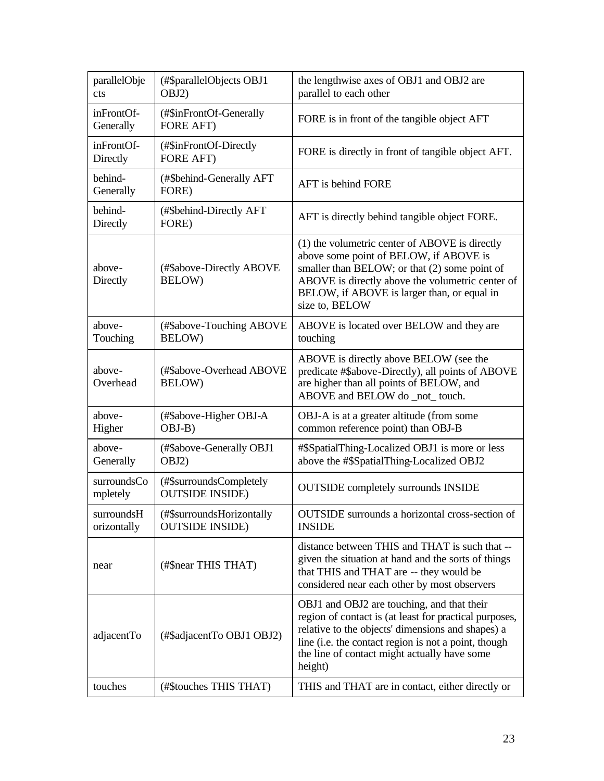| parallelObje<br>cts       | (#\$parallelObjects OBJ1<br>OBJ2)                   | the lengthwise axes of OBJ1 and OBJ2 are<br>parallel to each other                                                                                                                                                                                                           |
|---------------------------|-----------------------------------------------------|------------------------------------------------------------------------------------------------------------------------------------------------------------------------------------------------------------------------------------------------------------------------------|
| inFrontOf-<br>Generally   | (#\$inFrontOf-Generally<br>FORE AFT)                | FORE is in front of the tangible object AFT                                                                                                                                                                                                                                  |
| inFrontOf-<br>Directly    | (#\$inFrontOf-Directly<br><b>FORE AFT)</b>          | FORE is directly in front of tangible object AFT.                                                                                                                                                                                                                            |
| behind-<br>Generally      | (#\$behind-Generally AFT<br>FORE)                   | AFT is behind FORE                                                                                                                                                                                                                                                           |
| behind-<br>Directly       | (#\$behind-Directly AFT<br>FORE)                    | AFT is directly behind tangible object FORE.                                                                                                                                                                                                                                 |
| above-<br>Directly        | (#\$above-Directly ABOVE<br>BELOW)                  | (1) the volumetric center of ABOVE is directly<br>above some point of BELOW, if ABOVE is<br>smaller than BELOW; or that (2) some point of<br>ABOVE is directly above the volumetric center of<br>BELOW, if ABOVE is larger than, or equal in<br>size to, BELOW               |
| above-<br>Touching        | (#\$above-Touching ABOVE<br>BELOW)                  | ABOVE is located over BELOW and they are<br>touching                                                                                                                                                                                                                         |
| above-<br>Overhead        | (#\$above-Overhead ABOVE<br>BELOW)                  | ABOVE is directly above BELOW (see the<br>predicate #\$above-Directly), all points of ABOVE<br>are higher than all points of BELOW, and<br>ABOVE and BELOW do _not_ touch.                                                                                                   |
| above-<br>Higher          | (#\$above-Higher OBJ-A<br>OBJ-B)                    | OBJ-A is at a greater altitude (from some<br>common reference point) than OBJ-B                                                                                                                                                                                              |
| above-<br>Generally       | (#\$above-Generally OBJ1<br>OBJ2)                   | #\$SpatialThing-Localized OBJ1 is more or less<br>above the #\$SpatialThing-Localized OBJ2                                                                                                                                                                                   |
| surroundsCo<br>mpletely   | (#\$surroundsCompletely<br><b>OUTSIDE INSIDE)</b>   | <b>OUTSIDE</b> completely surrounds INSIDE                                                                                                                                                                                                                                   |
| surroundsH<br>orizontally | (#\$surroundsHorizontally<br><b>OUTSIDE INSIDE)</b> | OUTSIDE surrounds a horizontal cross-section of<br><b>INSIDE</b>                                                                                                                                                                                                             |
| near                      | (#\$near THIS THAT)                                 | distance between THIS and THAT is such that --<br>given the situation at hand and the sorts of things<br>that THIS and THAT are -- they would be<br>considered near each other by most observers                                                                             |
| adjacentTo                | (#\$adjacentTo OBJ1 OBJ2)                           | OBJ1 and OBJ2 are touching, and that their<br>region of contact is (at least for practical purposes,<br>relative to the objects' dimensions and shapes) a<br>line (i.e. the contact region is not a point, though<br>the line of contact might actually have some<br>height) |
| touches                   | (#\$touches THIS THAT)                              | THIS and THAT are in contact, either directly or                                                                                                                                                                                                                             |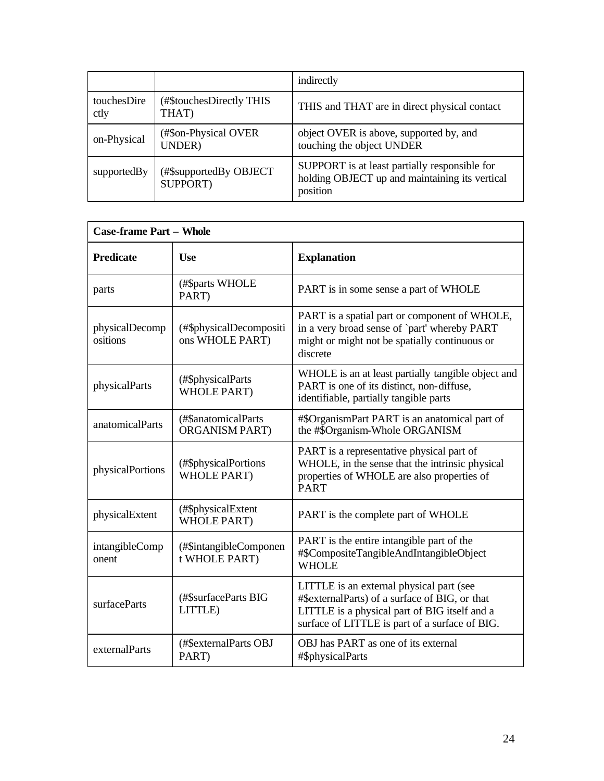|                     |                                    | indirectly                                                                                                  |
|---------------------|------------------------------------|-------------------------------------------------------------------------------------------------------------|
| touchesDire<br>ctly | (#\$touchesDirectly THIS)<br>THAT) | THIS and THAT are in direct physical contact                                                                |
| on-Physical         | (#\$on-Physical OVER<br>UNDER)     | object OVER is above, supported by, and<br>touching the object UNDER                                        |
| supportedBy         | (#\$supportedBy OBJECT<br>SUPPORT) | SUPPORT is at least partially responsible for<br>holding OBJECT up and maintaining its vertical<br>position |

| <b>Case-frame Part - Whole</b> |                                              |                                                                                                                                                                                               |
|--------------------------------|----------------------------------------------|-----------------------------------------------------------------------------------------------------------------------------------------------------------------------------------------------|
| <b>Predicate</b>               | <b>Use</b>                                   | <b>Explanation</b>                                                                                                                                                                            |
| parts                          | (#\$parts WHOLE<br>PART)                     | PART is in some sense a part of WHOLE                                                                                                                                                         |
| physicalDecomp<br>ositions     | (#\$physicalDecompositi<br>ons WHOLE PART)   | PART is a spatial part or component of WHOLE,<br>in a very broad sense of `part' whereby PART<br>might or might not be spatially continuous or<br>discrete                                    |
| physicalParts                  | (#\$physicalParts<br><b>WHOLE PART)</b>      | WHOLE is an at least partially tangible object and<br>PART is one of its distinct, non-diffuse,<br>identifiable, partially tangible parts                                                     |
| anatomicalParts                | (#\$anatomicalParts<br><b>ORGANISM PART)</b> | #\$OrganismPart PART is an anatomical part of<br>the #\$Organism-Whole ORGANISM                                                                                                               |
| physicalPortions               | (#\$physicalPortions<br><b>WHOLE PART)</b>   | PART is a representative physical part of<br>WHOLE, in the sense that the intrinsic physical<br>properties of WHOLE are also properties of<br><b>PART</b>                                     |
| physicalExtent                 | (#\$physicalExtent<br><b>WHOLE PART)</b>     | PART is the complete part of WHOLE                                                                                                                                                            |
| intangibleComp<br>onent        | (#\$intangibleComponen<br>t WHOLE PART)      | PART is the entire intangible part of the<br>#\$CompositeTangibleAndIntangibleObject<br><b>WHOLE</b>                                                                                          |
| surfaceParts                   | (#\$surfaceParts BIG<br>LITTLE)              | LITTLE is an external physical part (see<br>#\$externalParts) of a surface of BIG, or that<br>LITTLE is a physical part of BIG itself and a<br>surface of LITTLE is part of a surface of BIG. |
| externalParts                  | (#\$externalParts OBJ<br>PART)               | OBJ has PART as one of its external<br>#\$physicalParts                                                                                                                                       |